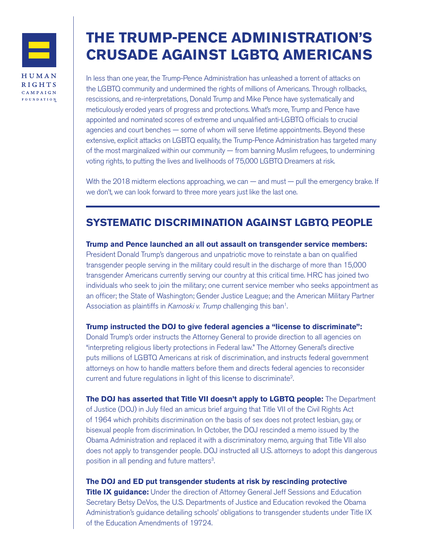

FOUNDATION

# **THE TRUMP-PENCE ADMINISTRATION'S CRUSADE AGAINST LGBTQ AMERICANS**

In less than one year, the Trump-Pence Administration has unleashed a torrent of attacks on the LGBTQ community and undermined the rights of millions of Americans. Through rollbacks, rescissions, and re-interpretations, Donald Trump and Mike Pence have systematically and meticulously eroded years of progress and protections. What's more, Trump and Pence have appointed and nominated scores of extreme and unqualified anti-LGBTQ officials to crucial agencies and court benches — some of whom will serve lifetime appointments. Beyond these extensive, explicit attacks on LGBTQ equality, the Trump-Pence Administration has targeted many of the most marginalized within our community — from banning Muslim refugees, to undermining voting rights, to putting the lives and livelihoods of 75,000 LGBTQ Dreamers at risk.

With the 2018 midterm elections approaching, we can — and must — pull the emergency brake. If we don't, we can look forward to three more years just like the last one.

# **SYSTEMATIC DISCRIMINATION AGAINST LGBTQ PEOPLE**

**Trump and Pence launched an all out assault on transgender service members:** President Donald Trump's dangerous and unpatriotic move to reinstate a ban on qualified transgender people serving in the military could result in the discharge of more than 15,000 transgender Americans currently serving our country at this critical time. HRC has joined two individuals who seek to join the military; one current service member who seeks appointment as an officer; the State of Washington; Gender Justice League; and the American Military Partner Association as plaintiffs in Karnoski v. Trump challenging this ban<sup>1</sup>.

**Trump instructed the DOJ to give federal agencies a "license to discriminate":** Donald Trump's order instructs the Attorney General to provide direction to all agencies on

"interpreting religious liberty protections in Federal law." The Attorney General's directive puts millions of LGBTQ Americans at risk of discrimination, and instructs federal government attorneys on how to handle matters before them and directs federal agencies to reconsider current and future regulations in light of this license to discriminate2.

**The DOJ has asserted that Title VII doesn't apply to LGBTQ people:** The Department of Justice (DOJ) in July filed an amicus brief arguing that Title VII of the Civil Rights Act of 1964 which prohibits discrimination on the basis of sex does not protect lesbian, gay, or bisexual people from discrimination. In October, the DOJ rescinded a memo issued by the Obama Administration and replaced it with a discriminatory memo, arguing that Title VII also does not apply to transgender people. DOJ instructed all U.S. attorneys to adopt this dangerous position in all pending and future matters<sup>3</sup>.

**The DOJ and ED put transgender students at risk by rescinding protective Title IX guidance:** Under the direction of Attorney General Jeff Sessions and Education Secretary Betsy DeVos, the U.S. Departments of Justice and Education revoked the Obama Administration's guidance detailing schools' obligations to transgender students under Title IX of the Education Amendments of 19724.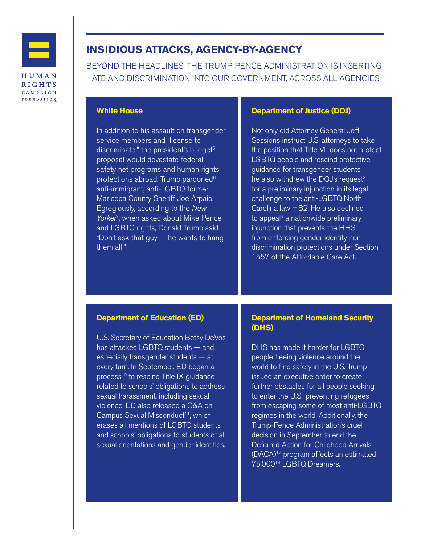

**RIGHTS** CAMPAIGN FOUNDATION

# **INSIDIOUS ATTACKS, AGENCY-BY-AGENCY**

BEYOND THE HEADLINES, THE TRUMP-PENCE ADMINISTRATION IS INSERTING HATE AND DISCRIMINATION INTO OUR GOVERNMENT, ACROSS ALL AGENCIES.

## **White House**

In addition to his assault on transgender service members and "license to discriminate," the president's budget $5$ proposal would devastate federal safety net programs and human rights protections abroad. Trump pardoned<sup>6</sup> anti-immigrant, anti-LGBTQ former Maricopa County Sheriff Joe Arpaio. Egregiously, according to the New Yorker<sup>7</sup>, when asked about Mike Pence and LGBTQ rights, Donald Trump said "Don't ask that guy — he wants to hang them all!"

## **Department of Justice (DOJ)**

Not only did Attorney General Jeff Sessions instruct U.S. attorneys to take the position that Title VII does not protect LGBTQ people and rescind protective guidance for transgender students, he also withdrew the DOJ's request<sup>8</sup> for a preliminary injunction in its legal challenge to the anti-LGBTQ North Carolina law HB2. He also declined to appeal $9$  a nationwide preliminary injunction that prevents the HHS from enforcing gender identity nondiscrimination protections under Section 1557 of the Affordable Care Act.

#### **Department of Education (ED)**

U.S. Secretary of Education Betsy DeVos has attacked LGBTQ students — and especially transgender students — at every turn. In September, ED began a process<sup>10</sup> to rescind Title IX guidance related to schools' obligations to address sexual harassment, including sexual violence. ED also released a Q&A on Campus Sexual Misconduct<sup>11</sup>, which erases all mentions of LGBTQ students and schools' obligations to students of all sexual orientations and gender identities.

## **Department of Homeland Security (DHS)**

DHS has made it harder for LGBTQ people fleeing violence around the world to find safety in the U.S. Trump issued an executive order to create further obstacles for all people seeking to enter the U.S., preventing refugees from escaping some of most anti-LGBTQ regimes in the world. Additionally, the Trump-Pence Administration's cruel decision in September to end the Deferred Action for Childhood Arrivals (DACA)12 program affects an estimated 75,00013 LGBTQ Dreamers.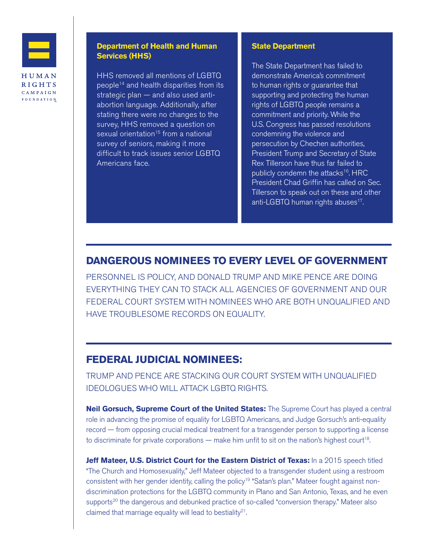

CAMPAIGN FOUNDATION

## **Department of Health and Human Services (HHS)**

HHS removed all mentions of LGBTQ people14 and health disparities from its strategic plan — and also used antiabortion language. Additionally, after stating there were no changes to the survey, HHS removed a question on sexual orientation<sup>15</sup> from a national survey of seniors, making it more difficult to track issues senior LGBTQ Americans face.

#### **State Department**

The State Department has failed to demonstrate America's commitment to human rights or guarantee that supporting and protecting the human rights of LGBTQ people remains a commitment and priority. While the U.S. Congress has passed resolutions condemning the violence and persecution by Chechen authorities, President Trump and Secretary of State Rex Tillerson have thus far failed to publicly condemn the attacks<sup>16</sup>. HRC President Chad Griffin has called on Sec. Tillerson to speak out on these and other anti-LGBTQ human rights abuses<sup>17</sup>.

# **DANGEROUS NOMINEES TO EVERY LEVEL OF GOVERNMENT**

PERSONNEL IS POLICY, AND DONALD TRUMP AND MIKE PENCE ARE DOING EVERYTHING THEY CAN TO STACK ALL AGENCIES OF GOVERNMENT AND OUR FEDERAL COURT SYSTEM WITH NOMINEES WHO ARE BOTH UNQUALIFIED AND HAVE TROUBLESOME RECORDS ON EQUALITY.

# **FEDERAL JUDICIAL NOMINEES:**

TRUMP AND PENCE ARE STACKING OUR COURT SYSTEM WITH UNQUALIFIED IDEOLOGUES WHO WILL ATTACK LGBTQ RIGHTS.

**Neil Gorsuch, Supreme Court of the United States:** The Supreme Court has played a central role in advancing the promise of equality for LGBTQ Americans, and Judge Gorsuch's anti-equality record — from opposing crucial medical treatment for a transgender person to supporting a license to discriminate for private corporations  $-$  make him unfit to sit on the nation's highest court<sup>18</sup>.

**Jeff Mateer, U.S. District Court for the Eastern District of Texas:** In a 2015 speech titled "The Church and Homosexuality," Jeff Mateer objected to a transgender student using a restroom consistent with her gender identity, calling the policy<sup>19</sup> "Satan's plan." Mateer fought against nondiscrimination protections for the LGBTQ community in Plano and San Antonio, Texas, and he even supports<sup>20</sup> the dangerous and debunked practice of so-called "conversion therapy." Mateer also claimed that marriage equality will lead to bestiality<sup>21</sup>.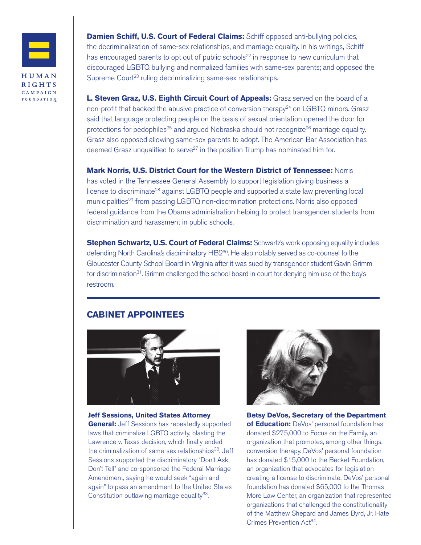

HUMAN **RIGHTS** CAMPAIGN FOUNDATION **Damien Schiff, U.S. Court of Federal Claims:** Schiff opposed anti-bullying policies, the decriminalization of same-sex relationships, and marriage equality. In his writings, Schiff has encouraged parents to opt out of public schools $22$  in response to new curriculum that discouraged LGBTQ bullying and normalized families with same-sex parents; and opposed the Supreme Court<sup>23</sup> ruling decriminalizing same-sex relationships.

**L. Steven Graz, U.S. Eighth Circuit Court of Appeals:** Grasz served on the board of a non-profit that backed the abusive practice of conversion therapy<sup>24</sup> on LGBTQ minors. Grasz said that language protecting people on the basis of sexual orientation opened the door for protections for pedophiles<sup>25</sup> and argued Nebraska should not recognize<sup>26</sup> marriage equality. Grasz also opposed allowing same-sex parents to adopt. The American Bar Association has deemed Grasz unqualified to serve<sup>27</sup> in the position Trump has nominated him for.

**Mark Norris, U.S. District Court for the Western District of Tennessee:** Norris has voted in the Tennessee General Assembly to support legislation giving business a license to discriminate<sup>28</sup> against LGBTQ people and supported a state law preventing local municipalities<sup>29</sup> from passing LGBTQ non-discrmination protections. Norris also opposed federal guidance from the Obama administration helping to protect transgender students from discrimination and harassment in public schools.

**Stephen Schwartz, U.S. Court of Federal Claims:** Schwartz's work opposing equality includes defending North Carolina's discriminatory HB2<sup>30</sup>. He also notably served as co-counsel to the Gloucester County School Board in Virginia after it was sued by transgender student Gavin Grimm for discrimination<sup>31</sup>. Grimm challenged the school board in court for denying him use of the boy's restroom.

# **CABINET APPOINTEES**



**Jeff Sessions, United States Attorney General:** Jeff Sessions has repeatedly supported laws that criminalize LGBTQ activity, blasting the Lawrence v. Texas decision, which finally ended the criminalization of same-sex relationships $32$ . Jeff Sessions supported the discriminatory "Don't Ask, Don't Tell" and co-sponsored the Federal Marriage Amendment, saying he would seek "again and again" to pass an amendment to the United States Constitution outlawing marriage equality<sup>33</sup>.



**Betsy DeVos, Secretary of the Department of Education:** DeVos' personal foundation has donated \$275,000 to Focus on the Family, an organization that promotes, among other things, conversion therapy. DeVos' personal foundation has donated \$15,000 to the Becket Foundation, an organization that advocates for legislation creating a license to discriminate. DeVos' personal foundation has donated \$65,000 to the Thomas More Law Center, an organization that represented organizations that challenged the constitutionality of the Matthew Shepard and James Byrd, Jr. Hate Crimes Prevention Act<sup>34</sup>.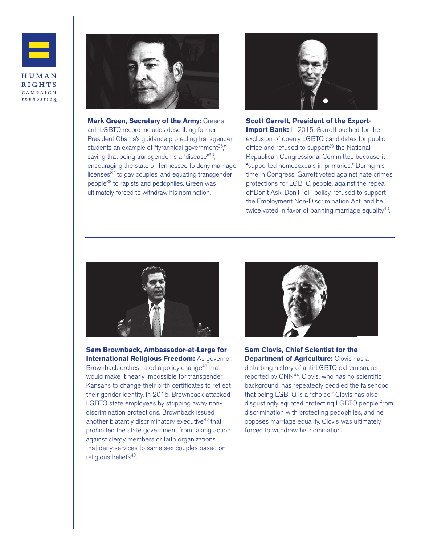



**Mark Green, Secretary of the Army:** Green's anti-LGBTQ record includes describing former President Obama's guidance protecting transgender students an example of "tyrannical government $35$ ," saying that being transgender is a "disease"<sup>36</sup>, encouraging the state of Tennessee to deny marriage licenses<sup>37</sup> to gay couples, and equating transgender people38 to rapists and pedophiles. Green was ultimately forced to withdraw his nomination.



**Scott Garrett, President of the Export-Import Bank:** In 2015, Garrett pushed for the exclusion of openly LGBTQ candidates for public office and refused to support<sup>39</sup> the National Republican Congressional Committee because it "supported homosexuals in primaries." During his time in Congress, Garrett voted against hate crimes protections for LGBTQ people, against the repeal of"Don't Ask, Don't Tell" policy, refused to support the Employment Non-Discrimination Act, and he twice voted in favor of banning marriage equality<sup>40</sup>.



**Sam Brownback, Ambassador-at-Large for International Religious Freedom: As governor,** Brownback orchestrated a policy change<sup>41</sup> that would make it nearly impossible for transgender Kansans to change their birth certificates to reflect their gender identity. In 2015, Brownback attacked LGBTQ state employees by stripping away nondiscrimination protections. Brownback issued another blatantly discriminatory executive<sup>42</sup> that prohibited the state government from taking action against clergy members or faith organizations that deny services to same sex couples based on religious beliefs<sup>43</sup>.



**Sam Clovis, Chief Scientist for the Department of Agriculture:** Clovis has a disturbing history of anti-LGBTQ extremism, as reported by CNN<sup>44</sup>. Clovis, who has no scientific background, has repeatedly peddled the falsehood that being LGBTQ is a "choice." Clovis has also disgustingly equated protecting LGBTQ people from discrimination with protecting pedophiles, and he opposes marriage equality. Clovis was ultimately forced to withdraw his nomination.